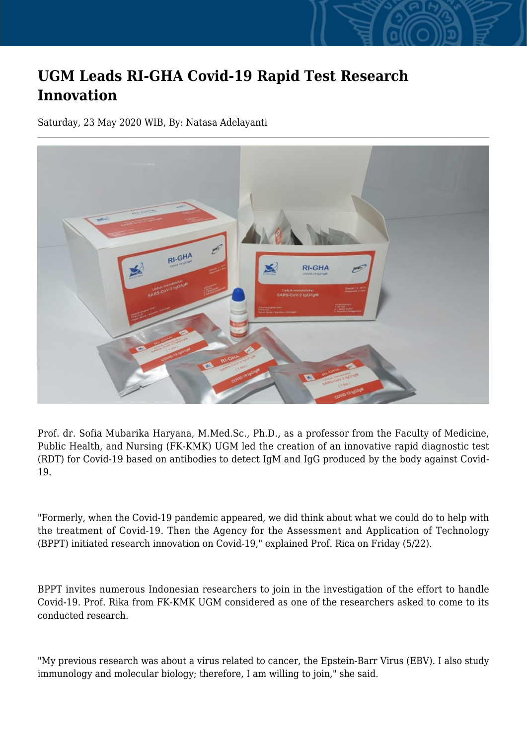## **UGM Leads RI-GHA Covid-19 Rapid Test Research Innovation**

Saturday, 23 May 2020 WIB, By: Natasa Adelayanti



Prof. dr. Sofia Mubarika Haryana, M.Med.Sc., Ph.D., as a professor from the Faculty of Medicine, Public Health, and Nursing (FK-KMK) UGM led the creation of an innovative rapid diagnostic test (RDT) for Covid-19 based on antibodies to detect IgM and IgG produced by the body against Covid-19.

"Formerly, when the Covid-19 pandemic appeared, we did think about what we could do to help with the treatment of Covid-19. Then the Agency for the Assessment and Application of Technology (BPPT) initiated research innovation on Covid-19," explained Prof. Rica on Friday (5/22).

BPPT invites numerous Indonesian researchers to join in the investigation of the effort to handle Covid-19. Prof. Rika from FK-KMK UGM considered as one of the researchers asked to come to its conducted research.

"My previous research was about a virus related to cancer, the Epstein-Barr Virus (EBV). I also study immunology and molecular biology; therefore, I am willing to join," she said.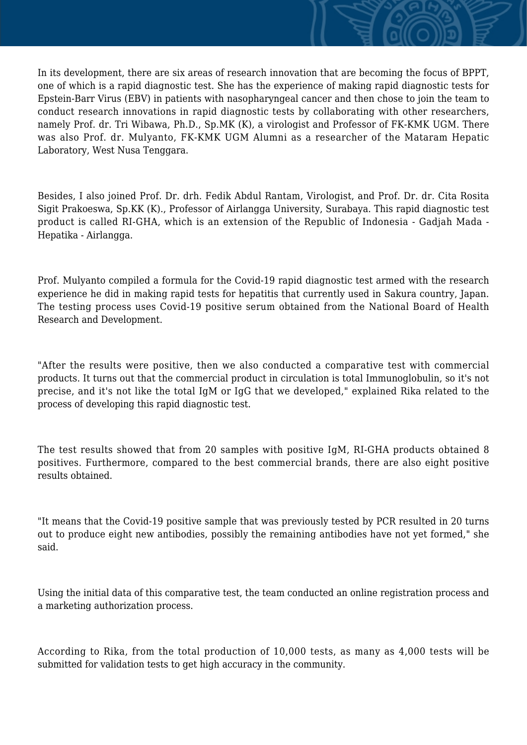In its development, there are six areas of research innovation that are becoming the focus of BPPT, one of which is a rapid diagnostic test. She has the experience of making rapid diagnostic tests for Epstein-Barr Virus (EBV) in patients with nasopharyngeal cancer and then chose to join the team to conduct research innovations in rapid diagnostic tests by collaborating with other researchers, namely Prof. dr. Tri Wibawa, Ph.D., Sp.MK (K), a virologist and Professor of FK-KMK UGM. There was also Prof. dr. Mulyanto, FK-KMK UGM Alumni as a researcher of the Mataram Hepatic Laboratory, West Nusa Tenggara.

Besides, I also joined Prof. Dr. drh. Fedik Abdul Rantam, Virologist, and Prof. Dr. dr. Cita Rosita Sigit Prakoeswa, Sp.KK (K)., Professor of Airlangga University, Surabaya. This rapid diagnostic test product is called RI-GHA, which is an extension of the Republic of Indonesia - Gadjah Mada - Hepatika - Airlangga.

Prof. Mulyanto compiled a formula for the Covid-19 rapid diagnostic test armed with the research experience he did in making rapid tests for hepatitis that currently used in Sakura country, Japan. The testing process uses Covid-19 positive serum obtained from the National Board of Health Research and Development.

"After the results were positive, then we also conducted a comparative test with commercial products. It turns out that the commercial product in circulation is total Immunoglobulin, so it's not precise, and it's not like the total IgM or IgG that we developed," explained Rika related to the process of developing this rapid diagnostic test.

The test results showed that from 20 samples with positive IgM, RI-GHA products obtained 8 positives. Furthermore, compared to the best commercial brands, there are also eight positive results obtained.

"It means that the Covid-19 positive sample that was previously tested by PCR resulted in 20 turns out to produce eight new antibodies, possibly the remaining antibodies have not yet formed," she said.

Using the initial data of this comparative test, the team conducted an online registration process and a marketing authorization process.

According to Rika, from the total production of 10,000 tests, as many as 4,000 tests will be submitted for validation tests to get high accuracy in the community.